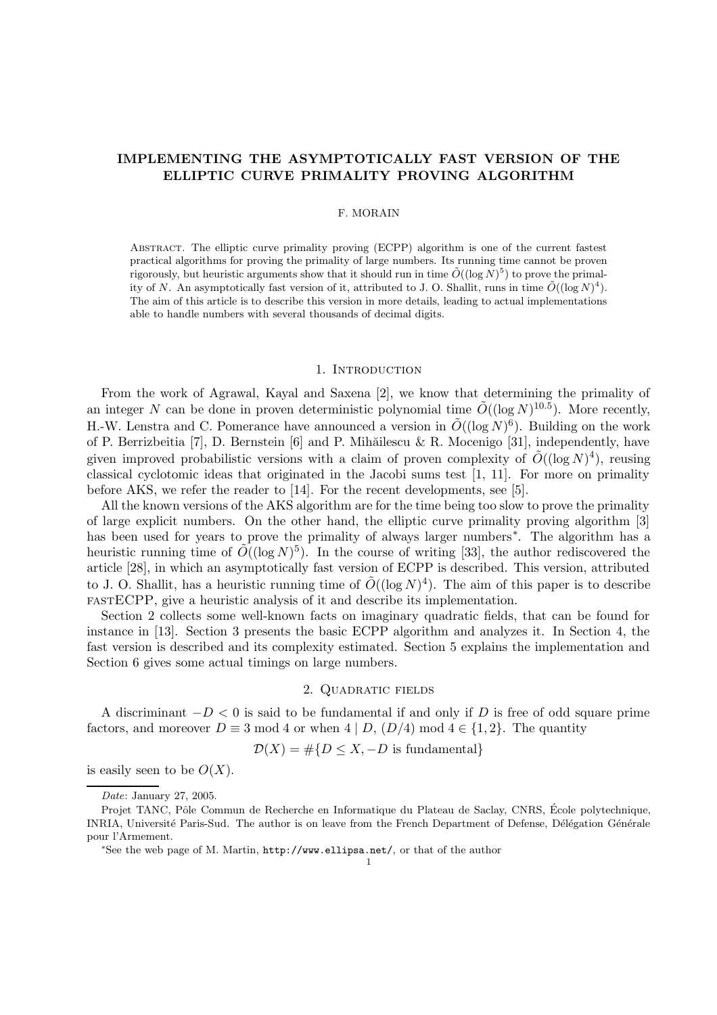# IMPLEMENTING THE ASYMPTOTICALLY FAST VERSION OF THE ELLIPTIC CURVE PRIMALITY PROVING ALGORITHM

## F. MORAIN

ABSTRACT. The elliptic curve primality proving (ECPP) algorithm is one of the current fastest practical algorithms for proving the primality of large numbers. Its running time cannot be proven rigorously, but heuristic arguments show that it should run in time  $\tilde{O}((\log N)^5)$  to prove the primality of N. An asymptotically fast version of it, attributed to J. O. Shallit, runs in time  $\tilde{O}((\log N)^4)$ . The aim of this article is to describe this version in more details, leading to actual implementations able to handle numbers with several thousands of decimal digits.

### 1. INTRODUCTION

From the work of Agrawal, Kayal and Saxena [2], we know that determining the primality of an integer N can be done in proven deterministic polynomial time  $\tilde{O}((\log N)^{10.5})$ . More recently, H.-W. Lenstra and C. Pomerance have announced a version in  $\tilde{O}((\log N)^6)$ . Building on the work of P. Berrizbeitia [7], D. Bernstein [6] and P. Mihăilescu & R. Mocenigo [31], independently, have given improved probabilistic versions with a claim of proven complexity of  $\tilde{O}((\log N)^4)$ , reusing classical cyclotomic ideas that originated in the Jacobi sums test [1, 11]. For more on primality before AKS, we refer the reader to [14]. For the recent developments, see [5].

All the known versions of the AKS algorithm are for the time being too slow to prove the primality of large explicit numbers. On the other hand, the elliptic curve primality proving algorithm [3] has been used for years to prove the primality of always larger numbers∗ . The algorithm has a heuristic running time of  $\tilde{O}((\log N)^5)$ . In the course of writing [33], the author rediscovered the article [28], in which an asymptotically fast version of ECPP is described. This version, attributed to J. O. Shallit, has a heuristic running time of  $\tilde{O}((\log N)^4)$ . The aim of this paper is to describe fastECPP, give a heuristic analysis of it and describe its implementation.

Section 2 collects some well-known facts on imaginary quadratic fields, that can be found for instance in [13]. Section 3 presents the basic ECPP algorithm and analyzes it. In Section 4, the fast version is described and its complexity estimated. Section 5 explains the implementation and Section 6 gives some actual timings on large numbers.

### 2. Quadratic fields

A discriminant  $-D < 0$  is said to be fundamental if and only if D is free of odd square prime factors, and moreover  $D \equiv 3 \mod 4$  or when  $4 | D, (D/4) \mod 4 \in \{1, 2\}$ . The quantity

$$
\mathcal{D}(X) = \#\{D \le X, -D \text{ is fundamental}\}\
$$

is easily seen to be  $O(X)$ .

Date: January 27, 2005.

Projet TANC, Pôle Commun de Recherche en Informatique du Plateau de Saclay, CNRS, École polytechnique, INRIA, Université Paris-Sud. The author is on leave from the French Department of Defense, Délégation Générale pour l'Armement.

<sup>∗</sup>See the web page of M. Martin, http://www.ellipsa.net/, or that of the author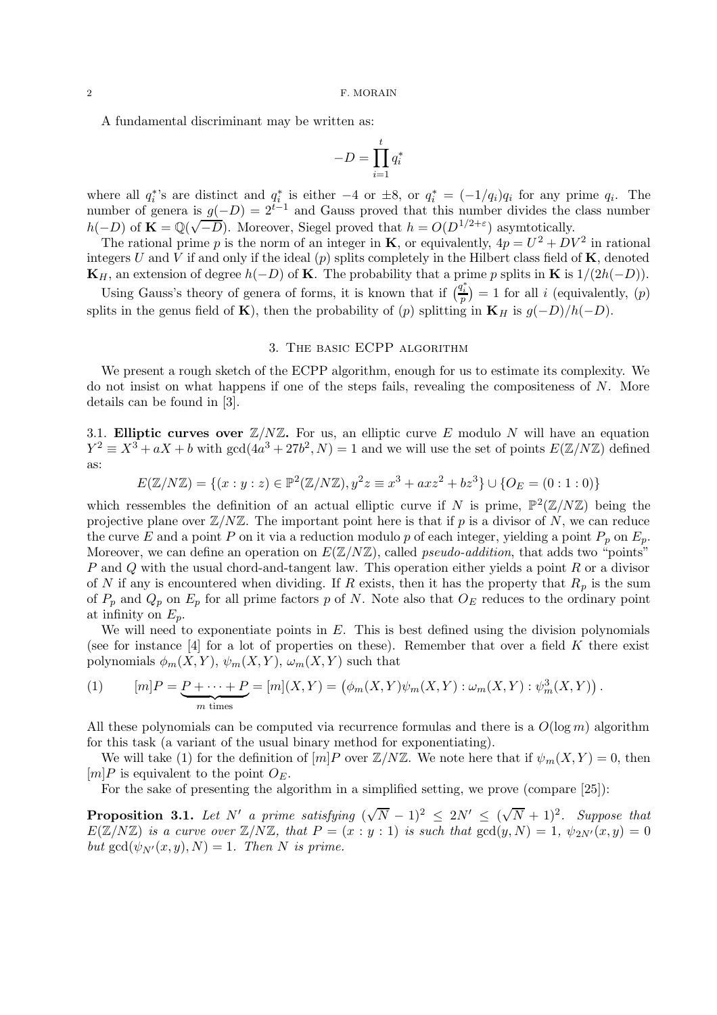A fundamental discriminant may be written as:

$$
-D = \prod_{i=1}^{t} q_i^*
$$

where all  $q_i^*$ 's are distinct and  $q_i^*$  is either  $-4$  or  $\pm 8$ , or  $q_i^* = (-1/q_i)q_i$  for any prime  $q_i$ . The number of genera is  $g(-D) = 2^{t-1}$  and Gauss proved that this number divides the class number  $h(-D)$  of  $\mathbf{K} = \mathbb{Q}(\sqrt{-D})$ . Moreover, Siegel proved that  $h = O(D^{1/2+\epsilon})$  asymtotically.

The rational prime p is the norm of an integer in **K**, or equivalently,  $4p = U^2 + DV^2$  in rational integers U and V if and only if the ideal  $(p)$  splits completely in the Hilbert class field of **K**, denoted  $\mathbf{K}_H$ , an extension of degree  $h(-D)$  of **K**. The probability that a prime p splits in **K** is  $1/(2h(-D))$ .

Using Gauss's theory of genera of forms, it is known that if  $\left(\frac{q_i^*}{p}\right) = 1$  for all i (equivalently,  $(p)$ ) splits in the genus field of K), then the probability of (p) splitting in K<sub>H</sub> is  $g(-D)/h(-D)$ .

# 3. The basic ECPP algorithm

We present a rough sketch of the ECPP algorithm, enough for us to estimate its complexity. We do not insist on what happens if one of the steps fails, revealing the compositeness of N. More details can be found in [3].

3.1. Elliptic curves over  $\mathbb{Z}/N\mathbb{Z}$ . For us, an elliptic curve E modulo N will have an equation  $Y^2 \equiv X^3 + aX + b$  with  $gcd(4a^3 + 27b^2, N) = 1$  and we will use the set of points  $E(\mathbb{Z}/N\mathbb{Z})$  defined as:

$$
E(\mathbb{Z}/N\mathbb{Z}) = \{(x : y : z) \in \mathbb{P}^2(\mathbb{Z}/N\mathbb{Z}), y^2 z \equiv x^3 + axz^2 + bz^3\} \cup \{O_E = (0 : 1 : 0)\}
$$

which ressembles the definition of an actual elliptic curve if N is prime,  $\mathbb{P}^2(\mathbb{Z}/N\mathbb{Z})$  being the projective plane over  $\mathbb{Z}/N\mathbb{Z}$ . The important point here is that if p is a divisor of N, we can reduce the curve E and a point P on it via a reduction modulo p of each integer, yielding a point  $P_p$  on  $E_p$ . Moreover, we can define an operation on  $E(\mathbb{Z}/N\mathbb{Z})$ , called *pseudo-addition*, that adds two "points"  $P$  and  $Q$  with the usual chord-and-tangent law. This operation either yields a point  $R$  or a divisor of N if any is encountered when dividing. If R exists, then it has the property that  $R_p$  is the sum of  $P_p$  and  $Q_p$  on  $E_p$  for all prime factors p of N. Note also that  $O_E$  reduces to the ordinary point at infinity on  $E_p$ .

We will need to exponentiate points in  $E$ . This is best defined using the division polynomials (see for instance  $[4]$  for a lot of properties on these). Remember that over a field K there exist polynomials  $\phi_m(X, Y)$ ,  $\psi_m(X, Y)$ ,  $\omega_m(X, Y)$  such that

(1) 
$$
[m]P = P + \cdots + P = [m](X, Y) = (\phi_m(X, Y)\psi_m(X, Y) : \omega_m(X, Y) : \psi_m^3(X, Y)).
$$

All these polynomials can be computed via recurrence formulas and there is a  $O(\log m)$  algorithm for this task (a variant of the usual binary method for exponentiating).

We will take (1) for the definition of  $[m]P$  over  $\mathbb{Z}/N\mathbb{Z}$ . We note here that if  $\psi_m(X,Y) = 0$ , then  $[m]P$  is equivalent to the point  $O_E$ .

For the sake of presenting the algorithm in a simplified setting, we prove (compare [25]):

**Proposition 3.1.** Let N' a prime satisfying  $(\sqrt{N}-1)^2 \le 2N' \le (\sqrt{N}+1)^2$ . Suppose that  $E(\mathbb{Z}/N\mathbb{Z})$  is a curve over  $\mathbb{Z}/N\mathbb{Z}$ , that  $P = (x : y : 1)$  is such that  $gcd(y, N) = 1$ ,  $\psi_{2N'}(x, y) = 0$ but  $gcd(\psi_{N'}(x, y), N) = 1$ . Then N is prime.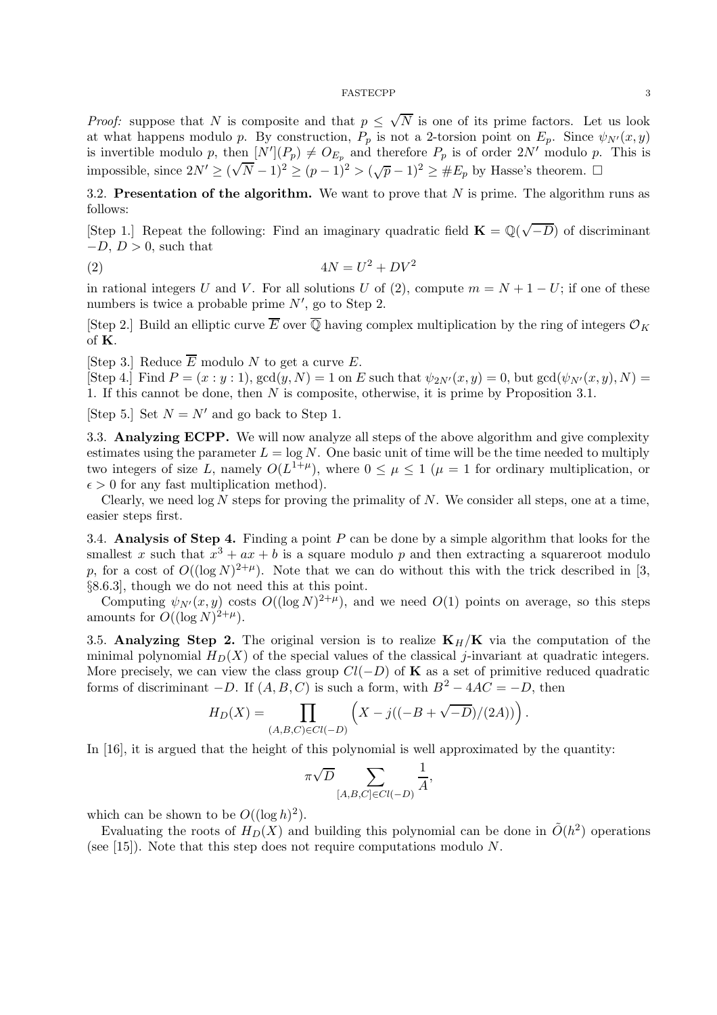*Proof:* suppose that N is composite and that  $p \leq \sqrt{N}$  is one of its prime factors. Let us look at what happens modulo p. By construction,  $P_p$  is not a 2-torsion point on  $E_p$ . Since  $\psi_{N'}(x, y)$ is invertible modulo p, then  $[N'](P_p) \neq O_{E_p}$  and therefore  $P_p$  is of order  $2N'$  modulo p. This is impossible, since  $2N' \geq (\sqrt{N}-1)^2 \geq (p-1)^2 > (\sqrt{p}-1)^2 \geq \#E_p$  by Hasse's theorem.

3.2. Presentation of the algorithm. We want to prove that  $N$  is prime. The algorithm runs as follows:

[Step 1.] Repeat the following: Find an imaginary quadratic field  $\mathbf{K} = \mathbb{Q}(\sqrt{-D})$  of discriminant  $-D, D > 0$ , such that

$$
(2) \t\t 4N = U^2 + DV^2
$$

in rational integers U and V. For all solutions U of (2), compute  $m = N + 1 - U$ ; if one of these numbers is twice a probable prime  $N'$ , go to Step 2.

[Step 2.] Build an elliptic curve  $\overline{E}$  over  $\overline{Q}$  having complex multiplication by the ring of integers  $\mathcal{O}_K$ of K.

[Step 3.] Reduce  $\overline{E}$  modulo N to get a curve E.

[Step 4.] Find  $P = (x : y : 1)$ ,  $gcd(y, N) = 1$  on E such that  $\psi_{2N'}(x, y) = 0$ , but  $gcd(\psi_{N'}(x, y), N) =$ 1. If this cannot be done, then N is composite, otherwise, it is prime by Proposition 3.1.

[Step 5.] Set  $N = N'$  and go back to Step 1.

3.3. Analyzing ECPP. We will now analyze all steps of the above algorithm and give complexity estimates using the parameter  $L = \log N$ . One basic unit of time will be the time needed to multiply two integers of size L, namely  $O(L^{1+\mu})$ , where  $0 \leq \mu \leq 1$  ( $\mu = 1$  for ordinary multiplication, or  $\epsilon > 0$  for any fast multiplication method).

Clearly, we need  $\log N$  steps for proving the primality of N. We consider all steps, one at a time, easier steps first.

3.4. Analysis of Step 4. Finding a point  $P$  can be done by a simple algorithm that looks for the smallest x such that  $x^3 + ax + b$  is a square modulo p and then extracting a squareroot modulo p, for a cost of  $O((\log N)^{2+\mu})$ . Note that we can do without this with the trick described in [3, §8.6.3], though we do not need this at this point.

Computing  $\psi_{N'}(x,y)$  costs  $O((\log N)^{2+\mu})$ , and we need  $O(1)$  points on average, so this steps amounts for  $O((\log N)^{2+\mu}).$ 

3.5. Analyzing Step 2. The original version is to realize  $K_H/K$  via the computation of the minimal polynomial  $H_D(X)$  of the special values of the classical j-invariant at quadratic integers. More precisely, we can view the class group  $Cl(-D)$  of **K** as a set of primitive reduced quadratic forms of discriminant  $-D$ . If  $(A, B, C)$  is such a form, with  $B^2 - 4AC = -D$ , then

$$
H_D(X) = \prod_{(A,B,C)\in Cl(-D)} \left( X - j((-B + \sqrt{-D})/(2A)) \right).
$$

In [16], it is argued that the height of this polynomial is well approximated by the quantity:

$$
\pi\sqrt{D}\sum_{[A,B,C]\in Cl(-D)}\frac{1}{A},
$$

which can be shown to be  $O((\log h)^2)$ .

Evaluating the roots of  $H_D(X)$  and building this polynomial can be done in  $\tilde{O}(h^2)$  operations (see [15]). Note that this step does not require computations modulo  $N$ .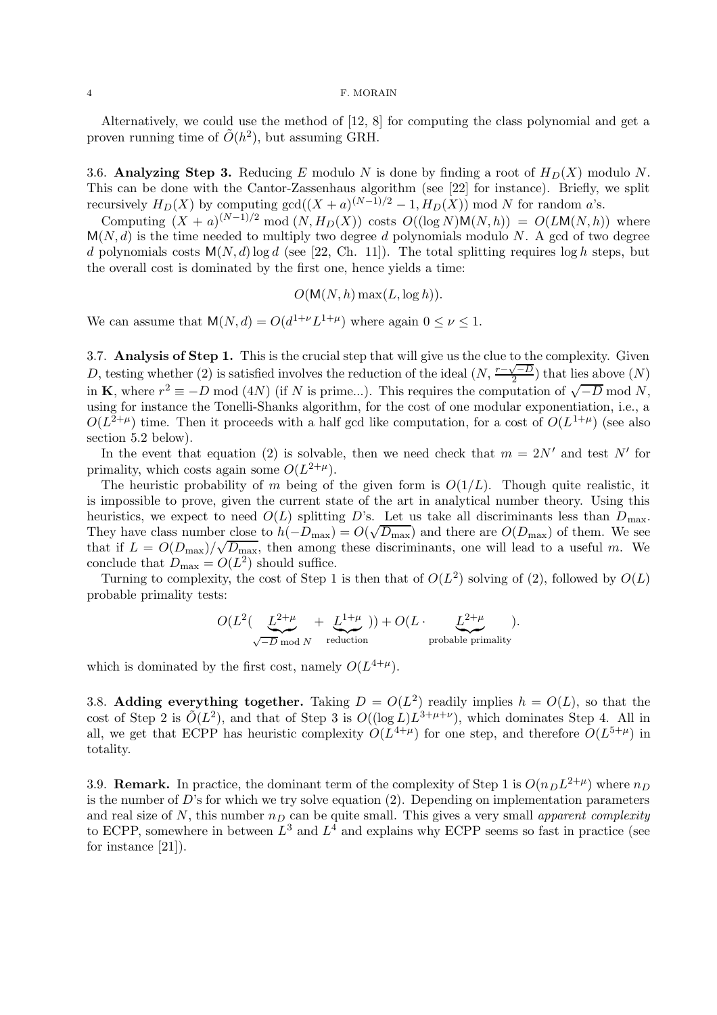#### 4 F. MORAIN

Alternatively, we could use the method of [12, 8] for computing the class polynomial and get a proven running time of  $\tilde{O}(h^2)$ , but assuming GRH.

3.6. Analyzing Step 3. Reducing E modulo N is done by finding a root of  $H_D(X)$  modulo N. This can be done with the Cantor-Zassenhaus algorithm (see [22] for instance). Briefly, we split recursively  $H_D(X)$  by computing  $gcd((X + a)^{(N-1)/2} - 1, H_D(X))$  mod N for random a's.

Computing  $(X + a)^{(N-1)/2} \mod (N, H_D(X))$  costs  $O((\log N)M(N, h)) = O(LM(N, h))$  where  $M(N, d)$  is the time needed to multiply two degree d polynomials modulo N. A gcd of two degree d polynomials costs  $M(N, d)$ log d (see [22, Ch. 11]). The total splitting requires log h steps, but the overall cost is dominated by the first one, hence yields a time:

$$
O(M(N, h) \max(L, \log h)).
$$

We can assume that  $M(N, d) = O(d^{1+\nu}L^{1+\mu})$  where again  $0 \le \nu \le 1$ .

3.7. Analysis of Step 1. This is the crucial step that will give us the clue to the complexity. Given D, testing whether (2) is satisfied involves the reduction of the ideal  $(N, \frac{r-\sqrt{-D}}{2})$  that lies above  $(N)$ in **K**, where  $r^2 \equiv -D \mod (4N)$  (if N is prime...). This requires the computation of  $\sqrt{-D} \mod N$ , using for instance the Tonelli-Shanks algorithm, for the cost of one modular exponentiation, i.e., a  $O(L^{2+\mu})$  time. Then it proceeds with a half gcd like computation, for a cost of  $O(L^{1+\mu})$  (see also section 5.2 below).

In the event that equation (2) is solvable, then we need check that  $m = 2N'$  and test N' for primality, which costs again some  $O(L^{2+\mu})$ .

The heuristic probability of m being of the given form is  $O(1/L)$ . Though quite realistic, it is impossible to prove, given the current state of the art in analytical number theory. Using this heuristics, we expect to need  $O(L)$  splitting D's. Let us take all discriminants less than  $D_{\text{max}}$ . They have class number close to  $h(-D_{\text{max}}) = O(\sqrt{D_{\text{max}}})$  and there are  $O(D_{\text{max}})$  of them. We see that if  $L = O(D_{\text{max}})/\sqrt{D_{\text{max}}}$ , then among these discriminants, one will lead to a useful m. We conclude that  $D_{\text{max}} = O(L^2)$  should suffice.

Turning to complexity, the cost of Step 1 is then that of  $O(L^2)$  solving of (2), followed by  $O(L)$ probable primality tests:

$$
O(L^{2}(\underbrace{L^{2+\mu}}_{\sqrt{-D} \mod N} + \underbrace{L^{1+\mu}}_{\text{reduction}})) + O(L \cdot \underbrace{L^{2+\mu}}_{\text{probable primality}}).
$$

which is dominated by the first cost, namely  $O(L^{4+\mu})$ .

3.8. Adding everything together. Taking  $D = O(L^2)$  readily implies  $h = O(L)$ , so that the cost of Step 2 is  $\tilde{O}(L^2)$ , and that of Step 3 is  $O((\log L)L^{3+\mu+\nu})$ , which dominates Step 4. All in all, we get that ECPP has heuristic complexity  $O(L^{4+\mu})$  for one step, and therefore  $O(L^{5+\mu})$  in totality.

3.9. **Remark.** In practice, the dominant term of the complexity of Step 1 is  $O(n_D L^{2+\mu})$  where  $n_D$ is the number of  $D$ 's for which we try solve equation  $(2)$ . Depending on implementation parameters and real size of N, this number  $n<sub>D</sub>$  can be quite small. This gives a very small apparent complexity to ECPP, somewhere in between  $L^3$  and  $L^4$  and explains why ECPP seems so fast in practice (see for instance [21]).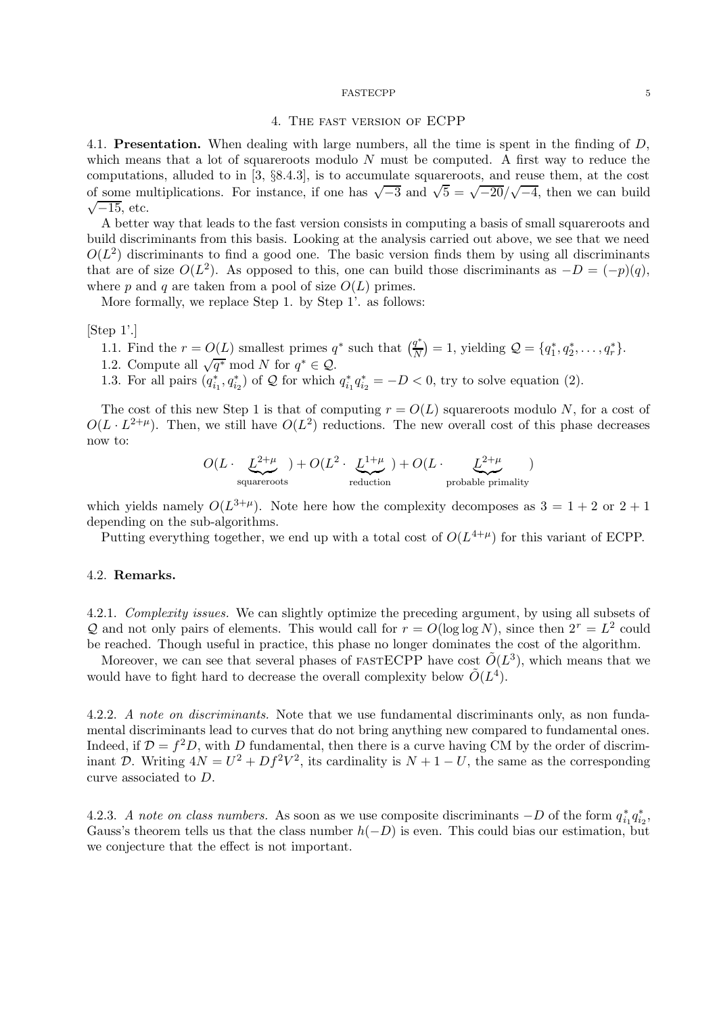### 4. The fast version of ECPP

4.1. **Presentation.** When dealing with large numbers, all the time is spent in the finding of  $D$ , which means that a lot of squareroots modulo  $N$  must be computed. A first way to reduce the computations, alluded to in [3, §8.4.3], is to accumulate squareroots, and reuse them, at the cost of some multiplications. For instance, if one has  $\sqrt{-3}$  and  $\sqrt{5} = \sqrt{-20}/\sqrt{-4}$ , then we can build  $\sqrt{-15}$ , etc.

A better way that leads to the fast version consists in computing a basis of small squareroots and build discriminants from this basis. Looking at the analysis carried out above, we see that we need  $O(L^2)$  discriminants to find a good one. The basic version finds them by using all discriminants that are of size  $O(L^2)$ . As opposed to this, one can build those discriminants as  $-D = (-p)(q)$ , where p and q are taken from a pool of size  $O(L)$  primes.

More formally, we replace Step 1. by Step 1'. as follows:

[Step 1'.]

- 1.1. Find the  $r = O(L)$  smallest primes  $q^*$  such that  $\left(\frac{q^*}{N}\right)$  $\frac{q^*}{N}$  = 1, yielding  $\mathcal{Q} = \{q_1^*, q_2^*, \dots, q_r^*\}.$
- 1.2. Compute all  $\sqrt{q^*} \mod N$  for  $q^* \in \mathcal{Q}$ .

1.3. For all pairs  $(q_{i_1}^*, q_{i_2}^*)$  of  $\mathcal Q$  for which  $q_{i_1}^* q_{i_2}^* = -D < 0$ , try to solve equation (2).

The cost of this new Step 1 is that of computing  $r = O(L)$  squareroots modulo N, for a cost of  $O(L \cdot L^{2+\mu})$ . Then, we still have  $O(L^2)$  reductions. The new overall cost of this phase decreases now to:

$$
O(L \cdot \underbrace{L^{2+\mu}}_{\text{squareoots}}) + O(L^2 \cdot \underbrace{L^{1+\mu}}_{\text{reduction}}) + O(L \cdot \underbrace{L^{2+\mu}}_{\text{probable primality}})
$$

which yields namely  $O(L^{3+\mu})$ . Note here how the complexity decomposes as  $3 = 1+2$  or  $2+1$ depending on the sub-algorithms.

Putting everything together, we end up with a total cost of  $O(L^{4+\mu})$  for this variant of ECPP.

## 4.2. Remarks.

4.2.1. Complexity issues. We can slightly optimize the preceding argument, by using all subsets of Q and not only pairs of elements. This would call for  $r = O(\log \log N)$ , since then  $2^r = L^2$  could be reached. Though useful in practice, this phase no longer dominates the cost of the algorithm.

Moreover, we can see that several phases of FASTECPP have cost  $\tilde{O}(L^3)$ , which means that we would have to fight hard to decrease the overall complexity below  $\tilde{O}(L^4)$ .

4.2.2. A note on discriminants. Note that we use fundamental discriminants only, as non fundamental discriminants lead to curves that do not bring anything new compared to fundamental ones. Indeed, if  $\mathcal{D} = f^2 D$ , with D fundamental, then there is a curve having CM by the order of discriminant D. Writing  $4N = U^2 + Df^2V^2$ , its cardinality is  $N + 1 - U$ , the same as the corresponding curve associated to D.

4.2.3. A note on class numbers. As soon as we use composite discriminants  $-D$  of the form  $q_{i_1}^* q_{i_2}^*$ , Gauss's theorem tells us that the class number  $h(-D)$  is even. This could bias our estimation, but we conjecture that the effect is not important.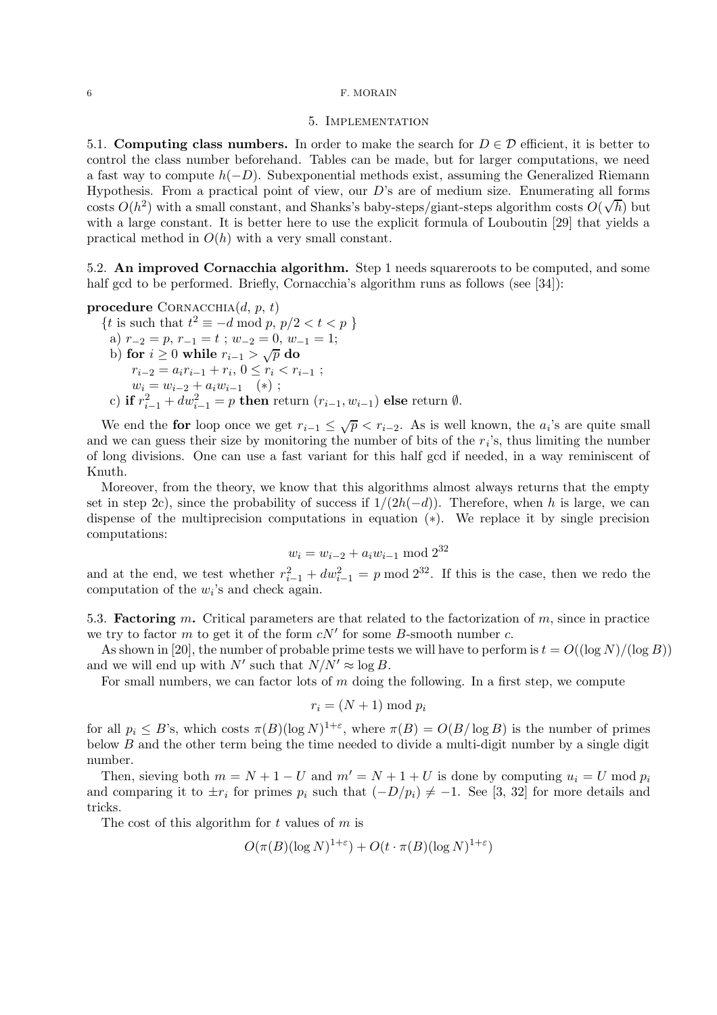### 6 F. MORAIN

## 5. Implementation

5.1. Computing class numbers. In order to make the search for  $D \in \mathcal{D}$  efficient, it is better to control the class number beforehand. Tables can be made, but for larger computations, we need a fast way to compute  $h(-D)$ . Subexponential methods exist, assuming the Generalized Riemann Hypothesis. From a practical point of view, our  $D$ 's are of medium size. Enumerating all forms costs  $O(h^2)$  with a small constant, and Shanks's baby-steps/giant-steps algorithm costs  $O(\sqrt{h})$  but with a large constant. It is better here to use the explicit formula of Louboutin [29] that yields a practical method in  $O(h)$  with a very small constant.

5.2. An improved Cornacchia algorithm. Step 1 needs squareroots to be computed, and some half gcd to be performed. Briefly, Cornacchia's algorithm runs as follows (see [34]):

procedure CORNACCHIA $(d, p, t)$ 

{*t* is such that 
$$
t^2 \equiv -d \mod p
$$
,  $p/2 < t < p$  }  
\na)  $r_{-2} = p$ ,  $r_{-1} = t$ ;  $w_{-2} = 0$ ,  $w_{-1} = 1$ ;  
\nb) for  $i \ge 0$  while  $r_{i-1} > \sqrt{p}$  do  
\n $r_{i-2} = a_i r_{i-1} + r_i$ ,  $0 \le r_i < r_{i-1}$ ;  
\n $w_i = w_{i-2} + a_i w_{i-1}$  (\*) ;  
\nc) if  $r_{i-1}^2 + dw_{i-1}^2 = p$  then return  $(r_{i-1}, w_{i-1})$  else return  $\emptyset$ .

We end the for loop once we get  $r_{i-1} \leq \sqrt{p} < r_{i-2}$ . As is well known, the  $a_i$ 's are quite small and we can guess their size by monitoring the number of bits of the  $r_i$ 's, thus limiting the number of long divisions. One can use a fast variant for this half gcd if needed, in a way reminiscent of Knuth.

Moreover, from the theory, we know that this algorithms almost always returns that the empty set in step 2c), since the probability of success if  $1/(2h(-d))$ . Therefore, when h is large, we can dispense of the multiprecision computations in equation (∗). We replace it by single precision computations:

$$
w_i = w_{i-2} + a_i w_{i-1} \bmod 2^{32}
$$

and at the end, we test whether  $r_{i-1}^2 + dw_{i-1}^2 = p \mod 2^{32}$ . If this is the case, then we redo the computation of the  $w_i$ 's and check again.

5.3. **Factoring** m. Critical parameters are that related to the factorization of m, since in practice we try to factor m to get it of the form  $cN'$  for some B-smooth number c.

As shown in [20], the number of probable prime tests we will have to perform is  $t = O((\log N)/(\log B))$ and we will end up with  $N'$  such that  $N/N' \approx \log B$ .

For small numbers, we can factor lots of  $m$  doing the following. In a first step, we compute

$$
r_i = (N+1) \bmod p_i
$$

for all  $p_i \leq B$ 's, which costs  $\pi(B)(\log N)^{1+\varepsilon}$ , where  $\pi(B) = O(B/\log B)$  is the number of primes below  $B$  and the other term being the time needed to divide a multi-digit number by a single digit number.

Then, sieving both  $m = N + 1 - U$  and  $m' = N + 1 + U$  is done by computing  $u_i = U$  mod  $p_i$ and comparing it to  $\pm r_i$  for primes  $p_i$  such that  $(-D/p_i) \neq -1$ . See [3, 32] for more details and tricks.

The cost of this algorithm for  $t$  values of  $m$  is

$$
O(\pi(B)(\log N)^{1+\varepsilon}) + O(t \cdot \pi(B)(\log N)^{1+\varepsilon})
$$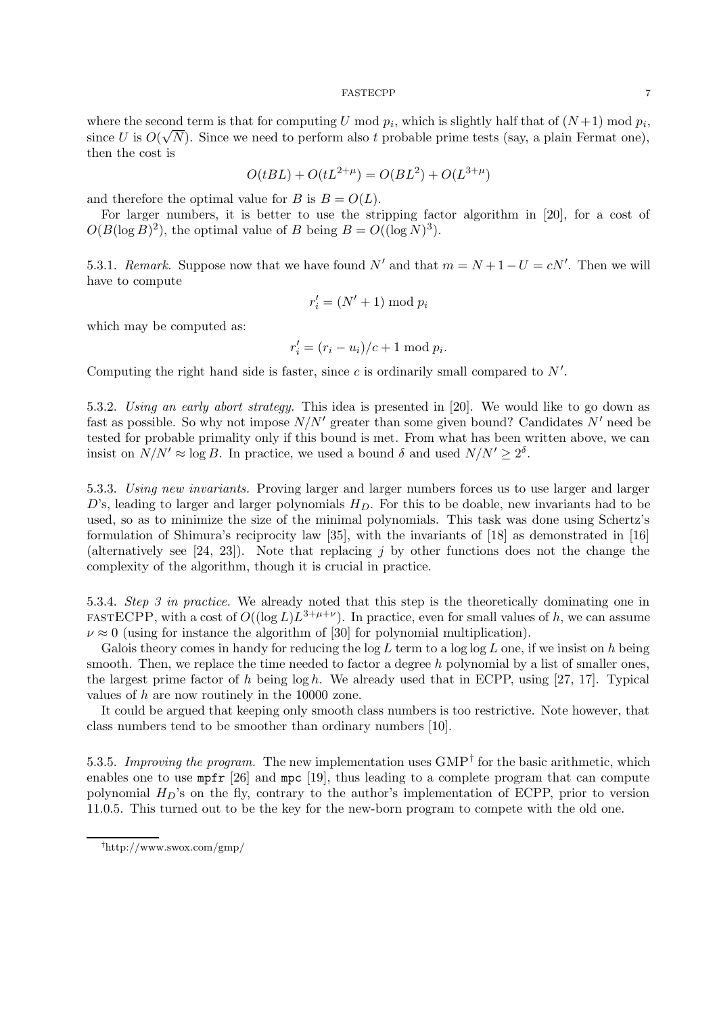where the second term is that for computing U mod  $p_i$ , which is slightly half that of  $(N+1)$  mod  $p_i$ , since U is  $O(\sqrt{N})$ . Since we need to perform also t probable prime tests (say, a plain Fermat one), then the cost is

$$
O(tBL) + O(tL^{2+\mu}) = O(BL^2) + O(L^{3+\mu})
$$

and therefore the optimal value for B is  $B = O(L)$ .

For larger numbers, it is better to use the stripping factor algorithm in [20], for a cost of  $O(B(\log B)^2)$ , the optimal value of B being  $B = O((\log N)^3)$ .

5.3.1. Remark. Suppose now that we have found N' and that  $m = N + 1 - U = cN'$ . Then we will have to compute

$$
r_i' = (N' + 1) \bmod p_i
$$

which may be computed as:

$$
r_i' = (r_i - u_i)/c + 1 \mod p_i.
$$

Computing the right hand side is faster, since c is ordinarily small compared to  $N'$ .

5.3.2. Using an early abort strategy. This idea is presented in [20]. We would like to go down as fast as possible. So why not impose  $N/N'$  greater than some given bound? Candidates N' need be tested for probable primality only if this bound is met. From what has been written above, we can insist on  $N/N' \approx \log B$ . In practice, we used a bound  $\delta$  and used  $N/N' \geq 2^{\delta}$ .

5.3.3. Using new invariants. Proving larger and larger numbers forces us to use larger and larger D's, leading to larger and larger polynomials  $H_D$ . For this to be doable, new invariants had to be used, so as to minimize the size of the minimal polynomials. This task was done using Schertz's formulation of Shimura's reciprocity law [35], with the invariants of [18] as demonstrated in [16] (alternatively see [24, 23]). Note that replacing j by other functions does not the change the complexity of the algorithm, though it is crucial in practice.

5.3.4. Step 3 in practice. We already noted that this step is the theoretically dominating one in FASTECPP, with a cost of  $O((\log L)L^{3+\mu+\nu})$ . In practice, even for small values of h, we can assume  $\nu \approx 0$  (using for instance the algorithm of [30] for polynomial multiplication).

Galois theory comes in handy for reducing the  $log L$  term to a  $log log L$  one, if we insist on h being smooth. Then, we replace the time needed to factor a degree h polynomial by a list of smaller ones, the largest prime factor of h being  $\log h$ . We already used that in ECPP, using [27, 17]. Typical values of h are now routinely in the 10000 zone.

It could be argued that keeping only smooth class numbers is too restrictive. Note however, that class numbers tend to be smoother than ordinary numbers [10].

5.3.5. Improving the program. The new implementation uses  $\text{GMP}^{\dagger}$  for the basic arithmetic, which enables one to use mpfr [26] and mpc [19], thus leading to a complete program that can compute polynomial  $H_D$ 's on the fly, contrary to the author's implementation of ECPP, prior to version 11.0.5. This turned out to be the key for the new-born program to compete with the old one.

<sup>†</sup>http://www.swox.com/gmp/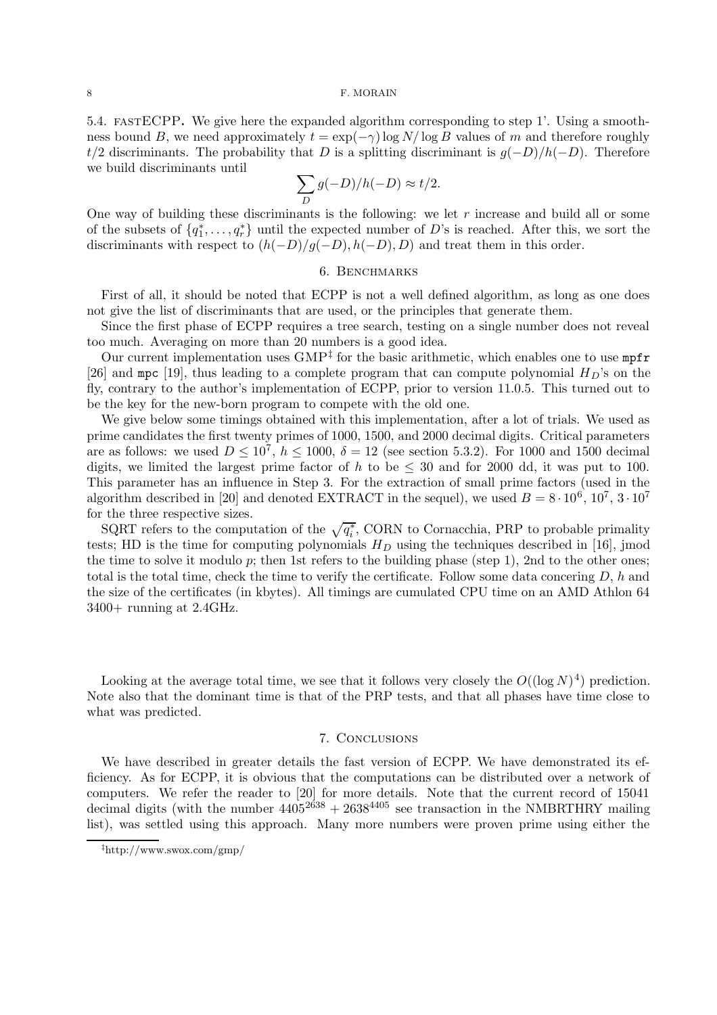#### 8 F. MORAIN

5.4. fastECPP. We give here the expanded algorithm corresponding to step 1'. Using a smoothness bound B, we need approximately  $t = \exp(-\gamma) \log N / \log B$  values of m and therefore roughly t/2 discriminants. The probability that D is a splitting discriminant is  $q(-D)/h(-D)$ . Therefore we build discriminants until

$$
\sum_{D} g(-D)/h(-D) \approx t/2.
$$

One way of building these discriminants is the following: we let  $r$  increase and build all or some of the subsets of  $\{q_1^*, \ldots, q_r^*\}$  until the expected number of D's is reached. After this, we sort the discriminants with respect to  $(h(-D)/g(-D), h(-D), D)$  and treat them in this order.

## 6. BENCHMARKS

First of all, it should be noted that ECPP is not a well defined algorithm, as long as one does not give the list of discriminants that are used, or the principles that generate them.

Since the first phase of ECPP requires a tree search, testing on a single number does not reveal too much. Averaging on more than 20 numbers is a good idea.

Our current implementation uses  $\text{GMP}^{\ddagger}$  for the basic arithmetic, which enables one to use  $\text{mpfr}$ [26] and mpc [19], thus leading to a complete program that can compute polynomial  $H_D$ 's on the fly, contrary to the author's implementation of ECPP, prior to version 11.0.5. This turned out to be the key for the new-born program to compete with the old one.

We give below some timings obtained with this implementation, after a lot of trials. We used as prime candidates the first twenty primes of 1000, 1500, and 2000 decimal digits. Critical parameters are as follows: we used  $D \leq 10^7$ ,  $h \leq 1000$ ,  $\delta = 12$  (see section 5.3.2). For 1000 and 1500 decimal digits, we limited the largest prime factor of h to be  $\leq$  30 and for 2000 dd, it was put to 100. This parameter has an influence in Step 3. For the extraction of small prime factors (used in the algorithm described in [20] and denoted EXTRACT in the sequel), we used  $B = 8 \cdot 10^6$ ,  $10^7$ ,  $3 \cdot 10^7$ for the three respective sizes.

SQRT refers to the computation of the  $\sqrt{q_i^*}$ , CORN to Cornacchia, PRP to probable primality tests; HD is the time for computing polynomials  $H_D$  using the techniques described in [16], jmod the time to solve it modulo  $p$ ; then 1st refers to the building phase (step 1), 2nd to the other ones; total is the total time, check the time to verify the certificate. Follow some data concering  $D$ , h and the size of the certificates (in kbytes). All timings are cumulated CPU time on an AMD Athlon 64 3400+ running at 2.4GHz.

Looking at the average total time, we see that it follows very closely the  $O((\log N)^4)$  prediction. Note also that the dominant time is that of the PRP tests, and that all phases have time close to what was predicted.

## 7. Conclusions

We have described in greater details the fast version of ECPP. We have demonstrated its efficiency. As for ECPP, it is obvious that the computations can be distributed over a network of computers. We refer the reader to [20] for more details. Note that the current record of 15041 decimal digits (with the number  $4405^{2638} + 2638^{4405}$  see transaction in the NMBRTHRY mailing list), was settled using this approach. Many more numbers were proven prime using either the

<sup>‡</sup>http://www.swox.com/gmp/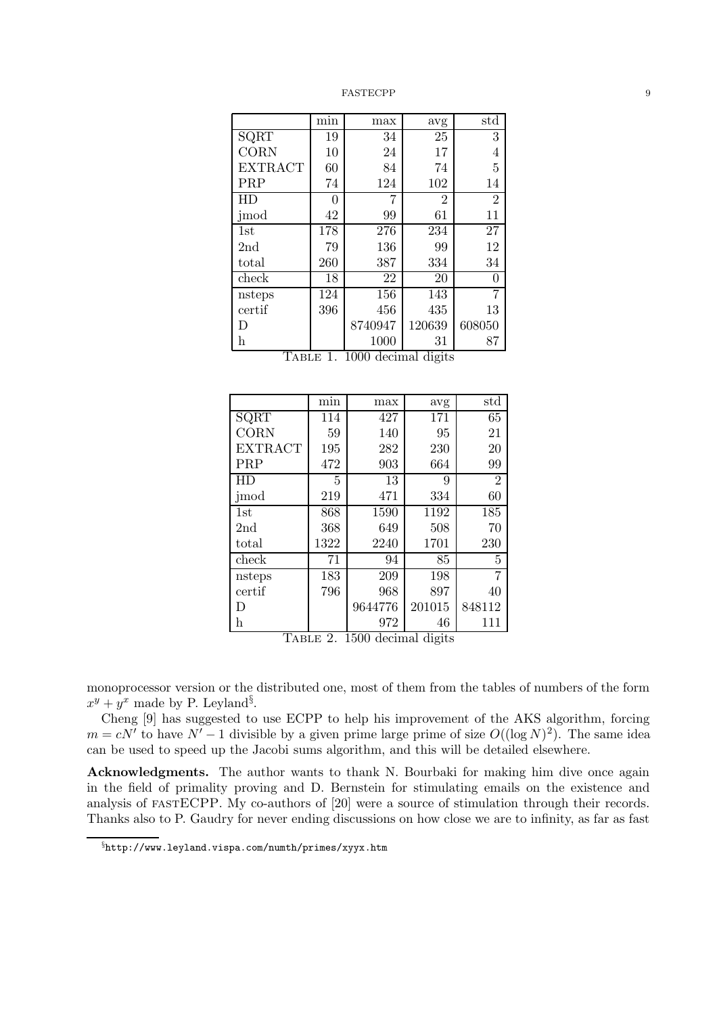|                 | $\overline{\min}$ | max                 | avg                       | std            |
|-----------------|-------------------|---------------------|---------------------------|----------------|
| SQRT            | 19                | 34                  | 25                        | 3              |
| CORN            | 10                | 24                  | 17                        | 4              |
| <b>EXTRACT</b>  | 60                | 84                  | 74                        | 5              |
| PRP             | 74                | 124                 | 102                       | 14             |
| HD              | 0                 | 7                   | $\overline{2}$            | $\overline{2}$ |
| jmod            | 42                | 99                  | 61                        | 11             |
| 1st             | 178               | 276                 | 234                       | 27             |
| 2 <sub>nd</sub> | 79                | 136                 | 99                        | 12             |
| total           | 260               | 387                 | 334                       | 34             |
| check           | 18                | 22                  | 20                        | 0              |
| nsteps          | $\overline{1}24$  | 156                 | 143                       | 7              |
| certif          | 396               | 456                 | 435                       | 13             |
| D               |                   | 8740947             | 120639                    | 608050         |
| h<br>j          | $\mathbf{H}$      | 1000<br>$\sim$ 0.00 | 31<br>T<br>$\blacksquare$ | 87             |

| TABLE 1. 1000 decimal digits |  |  |  |
|------------------------------|--|--|--|
|------------------------------|--|--|--|

|                | min  | max     | avg    | std            |
|----------------|------|---------|--------|----------------|
| SQRT           | 114  | 427     | 171    | 65             |
| <b>CORN</b>    | 59   | 140     | 95     | 21             |
| <b>EXTRACT</b> | 195  | 282     | 230    | 20             |
| PRP            | 472  | 903     | 664    | 99             |
| НD             | 5    | 13      | 9      | $\overline{2}$ |
| jmod           | 219  | 471     | 334    | 60             |
| 1st            | 868  | 1590    | 1192   | 185            |
| 2nd            | 368  | 649     | 508    | 70             |
| total          | 1322 | 2240    | 1701   | 230            |
| check          | 71   | 94      | 85     | 5              |
| nsteps         | 183  | 209     | 198    | 7              |
| certif         | 796  | 968     | 897    | 40             |
| D              |      | 9644776 | 201015 | 848112         |
| h              |      | 972     | 46     | 111            |

Table 2. 1500 decimal digits

monoprocessor version or the distributed one, most of them from the tables of numbers of the form  $x^y + y^x$  made by P. Leyland<sup>§</sup>.

Cheng [9] has suggested to use ECPP to help his improvement of the AKS algorithm, forcing  $m = cN'$  to have  $N' - 1$  divisible by a given prime large prime of size  $O((\log N)^2)$ . The same idea can be used to speed up the Jacobi sums algorithm, and this will be detailed elsewhere.

Acknowledgments. The author wants to thank N. Bourbaki for making him dive once again in the field of primality proving and D. Bernstein for stimulating emails on the existence and analysis of fastECPP. My co-authors of [20] were a source of stimulation through their records. Thanks also to P. Gaudry for never ending discussions on how close we are to infinity, as far as fast

<sup>§</sup>http://www.leyland.vispa.com/numth/primes/xyyx.htm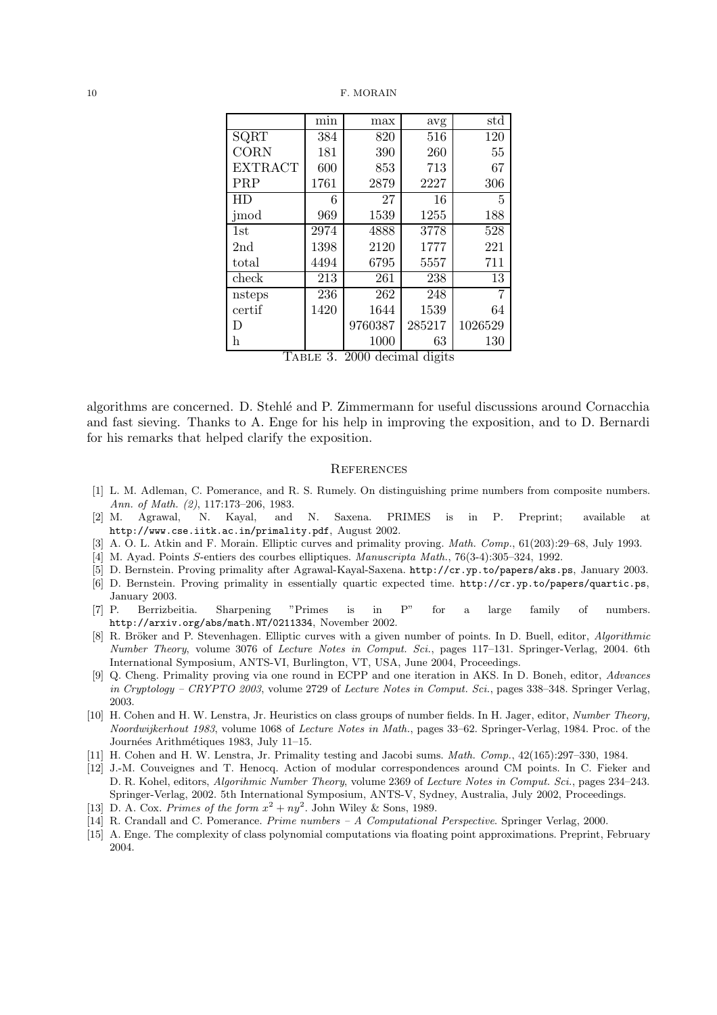|                     | min    | max              | avg            | std     |
|---------------------|--------|------------------|----------------|---------|
| SQRT                | 384    | 820              | 516            | 120     |
| CORN                | 181    | 390              | 260            | 55      |
| <b>EXTRACT</b>      | 600    | 853              | 713            | 67      |
| PRP                 | 1761   | 2879             | 2227           | 306     |
| <b>HD</b>           | 6      | 27               | 16             | 5       |
| jmod                | 969    | 1539             | 1255           | 188     |
| 1st                 | 2974   | 4888             | 3778           | 528     |
| 2 <sub>nd</sub>     | 1398   | 2120             | 1777           | 221     |
| total               | 4494   | 6795             | 5557           | 711     |
| check               | 213    | 261              | 238            | 13      |
| nsteps              | 236    | 262              | 248            | 7       |
| certif              | 1420   | 1644             | 1539           | 64      |
| D                   |        | 9760387          | 285217         | 1026529 |
| h<br>$\mathbf{m}$ . | $\sim$ | 1000<br>$\Omega$ | 63<br>ı.<br>٠. | 130     |

Table 3. 2000 decimal digits

algorithms are concerned. D. Stehl´e and P. Zimmermann for useful discussions around Cornacchia and fast sieving. Thanks to A. Enge for his help in improving the exposition, and to D. Bernardi for his remarks that helped clarify the exposition.

## **REFERENCES**

- [1] L. M. Adleman, C. Pomerance, and R. S. Rumely. On distinguishing prime numbers from composite numbers. Ann. of Math. (2), 117:173–206, 1983.
- [2] M. Agrawal, N. Kayal, and N. Saxena. PRIMES is in P. Preprint; available at http://www.cse.iitk.ac.in/primality.pdf, August 2002.
- [3] A. O. L. Atkin and F. Morain. Elliptic curves and primality proving. Math. Comp., 61(203):29–68, July 1993.
- [4] M. Ayad. Points S-entiers des courbes elliptiques. Manuscripta Math., 76(3-4):305–324, 1992.
- [5] D. Bernstein. Proving primality after Agrawal-Kayal-Saxena. http://cr.yp.to/papers/aks.ps, January 2003.
- [6] D. Bernstein. Proving primality in essentially quartic expected time. http://cr.yp.to/papers/quartic.ps, January 2003.
- [7] P. Berrizbeitia. Sharpening "Primes is in P" for a large family of numbers. http://arxiv.org/abs/math.NT/0211334, November 2002.
- [8] R. Bröker and P. Stevenhagen. Elliptic curves with a given number of points. In D. Buell, editor, Algorithmic Number Theory, volume 3076 of Lecture Notes in Comput. Sci., pages 117–131. Springer-Verlag, 2004. 6th International Symposium, ANTS-VI, Burlington, VT, USA, June 2004, Proceedings.
- [9] Q. Cheng. Primality proving via one round in ECPP and one iteration in AKS. In D. Boneh, editor, Advances in Cryptology – CRYPTO 2003, volume 2729 of Lecture Notes in Comput. Sci., pages 338–348. Springer Verlag, 2003.
- [10] H. Cohen and H. W. Lenstra, Jr. Heuristics on class groups of number fields. In H. Jager, editor, Number Theory, Noordwijkerhout 1983, volume 1068 of Lecture Notes in Math., pages 33–62. Springer-Verlag, 1984. Proc. of the Journées Arithmétiques 1983, July 11–15.
- [11] H. Cohen and H. W. Lenstra, Jr. Primality testing and Jacobi sums. Math. Comp., 42(165):297–330, 1984.
- [12] J.-M. Couveignes and T. Henocq. Action of modular correspondences around CM points. In C. Fieker and D. R. Kohel, editors, Algorihmic Number Theory, volume 2369 of Lecture Notes in Comput. Sci., pages 234–243. Springer-Verlag, 2002. 5th International Symposium, ANTS-V, Sydney, Australia, July 2002, Proceedings.
- [13] D. A. Cox. Primes of the form  $x^2 + ny^2$ . John Wiley & Sons, 1989.
- [14] R. Crandall and C. Pomerance. Prime numbers A Computational Perspective. Springer Verlag, 2000.
- [15] A. Enge. The complexity of class polynomial computations via floating point approximations. Preprint, February 2004.